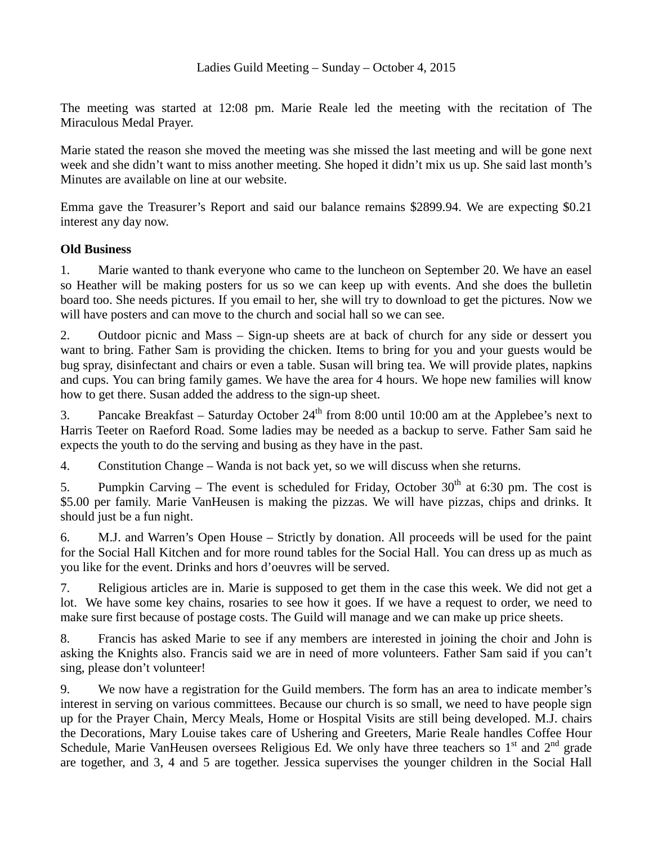The meeting was started at 12:08 pm. Marie Reale led the meeting with the recitation of The Miraculous Medal Prayer.

Marie stated the reason she moved the meeting was she missed the last meeting and will be gone next week and she didn't want to miss another meeting. She hoped it didn't mix us up. She said last month's Minutes are available on line at our website.

Emma gave the Treasurer's Report and said our balance remains \$2899.94. We are expecting \$0.21 interest any day now.

## **Old Business**

1. Marie wanted to thank everyone who came to the luncheon on September 20. We have an easel so Heather will be making posters for us so we can keep up with events. And she does the bulletin board too. She needs pictures. If you email to her, she will try to download to get the pictures. Now we will have posters and can move to the church and social hall so we can see.

2. Outdoor picnic and Mass – Sign-up sheets are at back of church for any side or dessert you want to bring. Father Sam is providing the chicken. Items to bring for you and your guests would be bug spray, disinfectant and chairs or even a table. Susan will bring tea. We will provide plates, napkins and cups. You can bring family games. We have the area for 4 hours. We hope new families will know how to get there. Susan added the address to the sign-up sheet.

3. Pancake Breakfast – Saturday October  $24<sup>th</sup>$  from 8:00 until 10:00 am at the Applebee's next to Harris Teeter on Raeford Road. Some ladies may be needed as a backup to serve. Father Sam said he expects the youth to do the serving and busing as they have in the past.

4. Constitution Change – Wanda is not back yet, so we will discuss when she returns.

5. Pumpkin Carving – The event is scheduled for Friday, October  $30<sup>th</sup>$  at 6:30 pm. The cost is \$5.00 per family. Marie VanHeusen is making the pizzas. We will have pizzas, chips and drinks. It should just be a fun night.

6. M.J. and Warren's Open House – Strictly by donation. All proceeds will be used for the paint for the Social Hall Kitchen and for more round tables for the Social Hall. You can dress up as much as you like for the event. Drinks and hors d'oeuvres will be served.

7. Religious articles are in. Marie is supposed to get them in the case this week. We did not get a lot. We have some key chains, rosaries to see how it goes. If we have a request to order, we need to make sure first because of postage costs. The Guild will manage and we can make up price sheets.

8. Francis has asked Marie to see if any members are interested in joining the choir and John is asking the Knights also. Francis said we are in need of more volunteers. Father Sam said if you can't sing, please don't volunteer!

9. We now have a registration for the Guild members. The form has an area to indicate member's interest in serving on various committees. Because our church is so small, we need to have people sign up for the Prayer Chain, Mercy Meals, Home or Hospital Visits are still being developed. M.J. chairs the Decorations, Mary Louise takes care of Ushering and Greeters, Marie Reale handles Coffee Hour Schedule, Marie VanHeusen oversees Religious Ed. We only have three teachers so  $1<sup>st</sup>$  and  $2<sup>nd</sup>$  grade are together, and 3, 4 and 5 are together. Jessica supervises the younger children in the Social Hall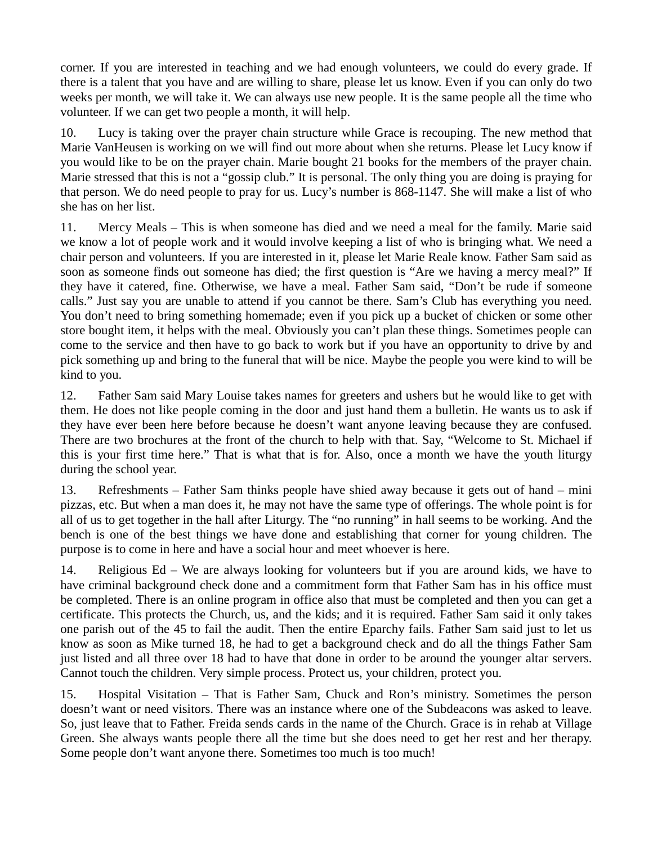corner. If you are interested in teaching and we had enough volunteers, we could do every grade. If there is a talent that you have and are willing to share, please let us know. Even if you can only do two weeks per month, we will take it. We can always use new people. It is the same people all the time who volunteer. If we can get two people a month, it will help.

10. Lucy is taking over the prayer chain structure while Grace is recouping. The new method that Marie VanHeusen is working on we will find out more about when she returns. Please let Lucy know if you would like to be on the prayer chain. Marie bought 21 books for the members of the prayer chain. Marie stressed that this is not a "gossip club." It is personal. The only thing you are doing is praying for that person. We do need people to pray for us. Lucy's number is 868-1147. She will make a list of who she has on her list.

11. Mercy Meals – This is when someone has died and we need a meal for the family. Marie said we know a lot of people work and it would involve keeping a list of who is bringing what. We need a chair person and volunteers. If you are interested in it, please let Marie Reale know. Father Sam said as soon as someone finds out someone has died; the first question is "Are we having a mercy meal?" If they have it catered, fine. Otherwise, we have a meal. Father Sam said, "Don't be rude if someone calls." Just say you are unable to attend if you cannot be there. Sam's Club has everything you need. You don't need to bring something homemade; even if you pick up a bucket of chicken or some other store bought item, it helps with the meal. Obviously you can't plan these things. Sometimes people can come to the service and then have to go back to work but if you have an opportunity to drive by and pick something up and bring to the funeral that will be nice. Maybe the people you were kind to will be kind to you.

12. Father Sam said Mary Louise takes names for greeters and ushers but he would like to get with them. He does not like people coming in the door and just hand them a bulletin. He wants us to ask if they have ever been here before because he doesn't want anyone leaving because they are confused. There are two brochures at the front of the church to help with that. Say, "Welcome to St. Michael if this is your first time here." That is what that is for. Also, once a month we have the youth liturgy during the school year.

13. Refreshments – Father Sam thinks people have shied away because it gets out of hand – mini pizzas, etc. But when a man does it, he may not have the same type of offerings. The whole point is for all of us to get together in the hall after Liturgy. The "no running" in hall seems to be working. And the bench is one of the best things we have done and establishing that corner for young children. The purpose is to come in here and have a social hour and meet whoever is here.

14. Religious Ed – We are always looking for volunteers but if you are around kids, we have to have criminal background check done and a commitment form that Father Sam has in his office must be completed. There is an online program in office also that must be completed and then you can get a certificate. This protects the Church, us, and the kids; and it is required. Father Sam said it only takes one parish out of the 45 to fail the audit. Then the entire Eparchy fails. Father Sam said just to let us know as soon as Mike turned 18, he had to get a background check and do all the things Father Sam just listed and all three over 18 had to have that done in order to be around the younger altar servers. Cannot touch the children. Very simple process. Protect us, your children, protect you.

15. Hospital Visitation – That is Father Sam, Chuck and Ron's ministry. Sometimes the person doesn't want or need visitors. There was an instance where one of the Subdeacons was asked to leave. So, just leave that to Father. Freida sends cards in the name of the Church. Grace is in rehab at Village Green. She always wants people there all the time but she does need to get her rest and her therapy. Some people don't want anyone there. Sometimes too much is too much!